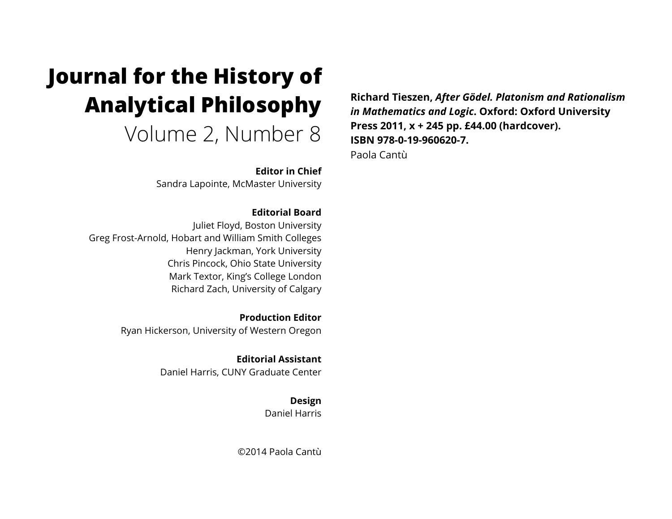## **Journal for the History of Analytical Philosophy**

Volume 2, Number 8

**Editor in Chief**

Sandra Lapointe, McMaster University

**Editorial Board**

Juliet Floyd, Boston University Greg Frost-Arnold, Hobart and William Smith Colleges Henry Jackman, York University Chris Pincock, Ohio State University Mark Textor, King's College London Richard Zach, University of Calgary

> **Production Editor** Ryan Hickerson, University of Western Oregon

> > **Editorial Assistant** Daniel Harris, CUNY Graduate Center

> > > **Design** Daniel Harris

©2014 Paola Cantù

**Richard Tieszen,** *After Gödel. Platonism and Rationalism in Mathematics and Logic***. Oxford: Oxford University Press 2011, x + 245 pp. £44.00 (hardcover). ISBN 978-0-19-960620-7.**

Paola Cantù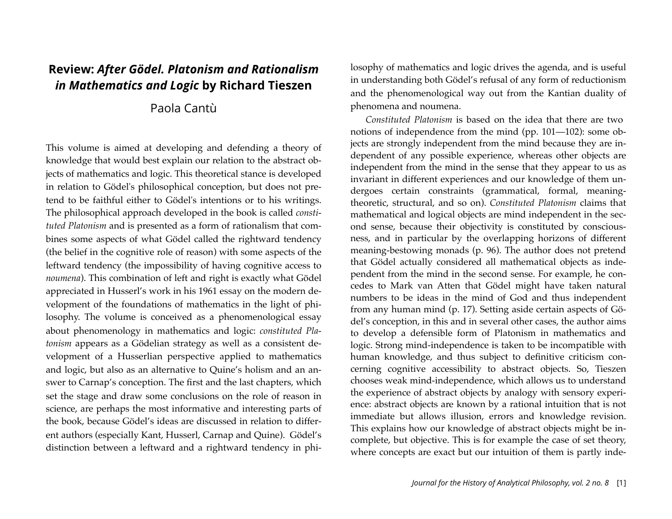## **Review:** *After Gödel. Platonism and Rationalism in Mathematics and Logic* **by Richard Tieszen**

## Paola Cantù

This volume is aimed at developing and defending a theory of knowledge that would best explain our relation to the abstract objects of mathematics and logic. This theoretical stance is developed in relation to Gödel's philosophical conception, but does not pretend to be faithful either to Gödel's intentions or to his writings. The philosophical approach developed in the book is called *constituted Platonism* and is presented as a form of rationalism that combines some aspects of what Gödel called the rightward tendency (the belief in the cognitive role of reason) with some aspects of the leftward tendency (the impossibility of having cognitive access to *noumena*). This combination of left and right is exactly what Gödel appreciated in Husserl's work in his 1961 essay on the modern development of the foundations of mathematics in the light of philosophy. The volume is conceived as a phenomenological essay about phenomenology in mathematics and logic: *constituted Platonism* appears as a Gödelian strategy as well as a consistent development of a Husserlian perspective applied to mathematics and logic, but also as an alternative to Quine's holism and an answer to Carnap's conception. The first and the last chapters, which set the stage and draw some conclusions on the role of reason in science, are perhaps the most informative and interesting parts of the book, because Gödel's ideas are discussed in relation to different authors (especially Kant, Husserl, Carnap and Quine). Gödel's distinction between a leftward and a rightward tendency in philosophy of mathematics and logic drives the agenda, and is useful in understanding both Gödel's refusal of any form of reductionism and the phenomenological way out from the Kantian duality of phenomena and noumena.

*Constituted Platonism* is based on the idea that there are two notions of independence from the mind (pp. 101—102): some objects are strongly independent from the mind because they are independent of any possible experience, whereas other objects are independent from the mind in the sense that they appear to us as invariant in different experiences and our knowledge of them undergoes certain constraints (grammatical, formal, meaningtheoretic, structural, and so on). *Constituted Platonism* claims that mathematical and logical objects are mind independent in the second sense, because their objectivity is constituted by consciousness, and in particular by the overlapping horizons of different meaning-bestowing monads (p. 96). The author does not pretend that Gödel actually considered all mathematical objects as independent from the mind in the second sense. For example, he concedes to Mark van Atten that Gödel might have taken natural numbers to be ideas in the mind of God and thus independent from any human mind (p. 17). Setting aside certain aspects of Gödel's conception, in this and in several other cases, the author aims to develop a defensible form of Platonism in mathematics and logic. Strong mind-independence is taken to be incompatible with human knowledge, and thus subject to definitive criticism concerning cognitive accessibility to abstract objects. So, Tieszen chooses weak mind-independence, which allows us to understand the experience of abstract objects by analogy with sensory experience: abstract objects are known by a rational intuition that is not immediate but allows illusion, errors and knowledge revision. This explains how our knowledge of abstract objects might be incomplete, but objective. This is for example the case of set theory, where concepts are exact but our intuition of them is partly inde-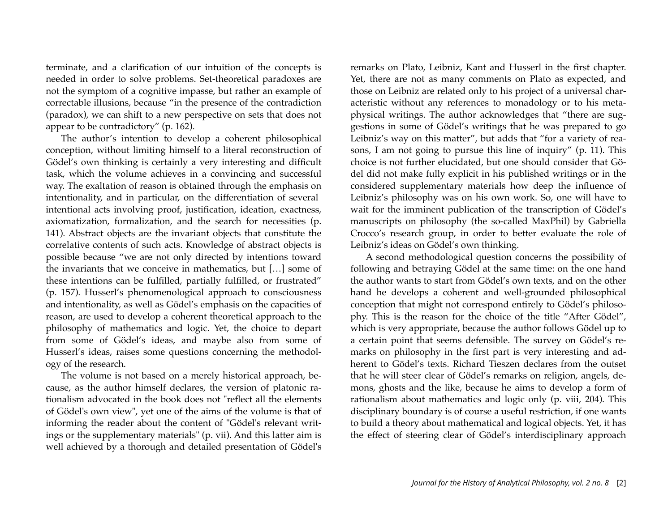terminate, and a clarification of our intuition of the concepts is needed in order to solve problems. Set-theoretical paradoxes are not the symptom of a cognitive impasse, but rather an example of correctable illusions, because "in the presence of the contradiction (paradox), we can shift to a new perspective on sets that does not appear to be contradictory" (p. 162).

The author's intention to develop a coherent philosophical conception, without limiting himself to a literal reconstruction of Gödel's own thinking is certainly a very interesting and difficult task, which the volume achieves in a convincing and successful way. The exaltation of reason is obtained through the emphasis on intentionality, and in particular, on the differentiation of several intentional acts involving proof, justification, ideation, exactness, axiomatization, formalization, and the search for necessities (p. 141). Abstract objects are the invariant objects that constitute the correlative contents of such acts. Knowledge of abstract objects is possible because "we are not only directed by intentions toward the invariants that we conceive in mathematics, but […] some of these intentions can be fulfilled, partially fulfilled, or frustrated" (p. 157). Husserl's phenomenological approach to consciousness and intentionality, as well as Gödel's emphasis on the capacities of reason, are used to develop a coherent theoretical approach to the philosophy of mathematics and logic. Yet, the choice to depart from some of Gödel's ideas, and maybe also from some of Husserl's ideas, raises some questions concerning the methodology of the research.

The volume is not based on a merely historical approach, because, as the author himself declares, the version of platonic rationalism advocated in the book does not "reflect all the elements of Gödel's own view", yet one of the aims of the volume is that of informing the reader about the content of "Gödel's relevant writings or the supplementary materials" (p. vii). And this latter aim is well achieved by a thorough and detailed presentation of Gödel's remarks on Plato, Leibniz, Kant and Husserl in the first chapter. Yet, there are not as many comments on Plato as expected, and those on Leibniz are related only to his project of a universal characteristic without any references to monadology or to his metaphysical writings. The author acknowledges that "there are suggestions in some of Gödel's writings that he was prepared to go Leibniz's way on this matter", but adds that "for a variety of reasons, I am not going to pursue this line of inquiry" (p. 11). This choice is not further elucidated, but one should consider that Gödel did not make fully explicit in his published writings or in the considered supplementary materials how deep the influence of Leibniz's philosophy was on his own work. So, one will have to wait for the imminent publication of the transcription of Gödel's manuscripts on philosophy (the so-called MaxPhil) by Gabriella Crocco's research group, in order to better evaluate the role of Leibniz's ideas on Gödel's own thinking.

A second methodological question concerns the possibility of following and betraying Gödel at the same time: on the one hand the author wants to start from Gödel's own texts, and on the other hand he develops a coherent and well-grounded philosophical conception that might not correspond entirely to Gödel's philosophy. This is the reason for the choice of the title "After Gödel", which is very appropriate, because the author follows Gödel up to a certain point that seems defensible. The survey on Gödel's remarks on philosophy in the first part is very interesting and adherent to Gödel's texts. Richard Tieszen declares from the outset that he will steer clear of Gödel's remarks on religion, angels, demons, ghosts and the like, because he aims to develop a form of rationalism about mathematics and logic only (p. viii, 204). This disciplinary boundary is of course a useful restriction, if one wants to build a theory about mathematical and logical objects. Yet, it has the effect of steering clear of Gödel's interdisciplinary approach